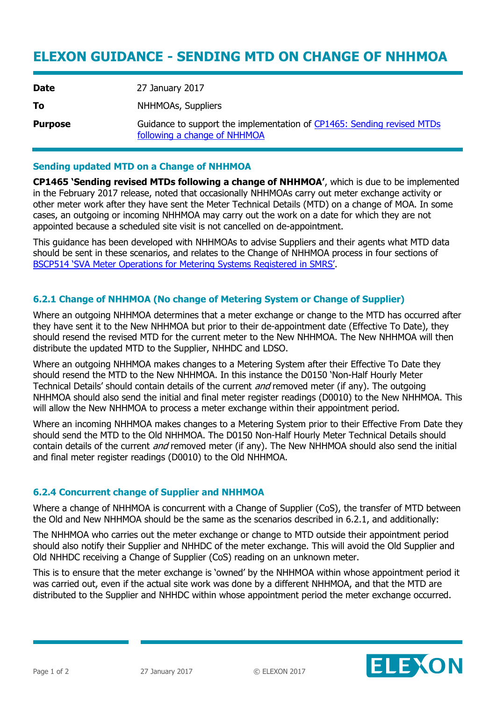# **ELEXON GUIDANCE - SENDING MTD ON CHANGE OF NHHMOA**

| <b>Date</b>    | 27 January 2017                                                                                        |
|----------------|--------------------------------------------------------------------------------------------------------|
| To             | NHHMOAs, Suppliers                                                                                     |
| <b>Purpose</b> | Guidance to support the implementation of CP1465: Sending revised MTDs<br>following a change of NHHMOA |

### **Sending updated MTD on a Change of NHHMOA**

**CP1465 'Sending revised MTDs following a change of NHHMOA'**, which is due to be implemented in the February 2017 release, noted that occasionally NHHMOAs carry out meter exchange activity or other meter work after they have sent the Meter Technical Details (MTD) on a change of MOA. In some cases, an outgoing or incoming NHHMOA may carry out the work on a date for which they are not appointed because a scheduled site visit is not cancelled on de-appointment.

This guidance has been developed with NHHMOAs to advise Suppliers and their agents what MTD data should be sent in these scenarios, and relates to the Change of NHHMOA process in four sections of [BSCP514 'SVA Meter Operations for Metering Systems Registered in SMRS'](https://www.elexon.co.uk/bsc-related-documents/related-documents/bscps/).

## **6.2.1 Change of NHHMOA (No change of Metering System or Change of Supplier)**

Where an outgoing NHHMOA determines that a meter exchange or change to the MTD has occurred after they have sent it to the New NHHMOA but prior to their de-appointment date (Effective To Date), they should resend the revised MTD for the current meter to the New NHHMOA. The New NHHMOA will then distribute the updated MTD to the Supplier, NHHDC and LDSO.

Where an outgoing NHHMOA makes changes to a Metering System after their Effective To Date they should resend the MTD to the New NHHMOA. In this instance the D0150 'Non-Half Hourly Meter Technical Details' should contain details of the current *and* removed meter (if any). The outgoing NHHMOA should also send the initial and final meter register readings (D0010) to the New NHHMOA. This will allow the New NHHMOA to process a meter exchange within their appointment period.

Where an incoming NHHMOA makes changes to a Metering System prior to their Effective From Date they should send the MTD to the Old NHHMOA. The D0150 Non-Half Hourly Meter Technical Details should contain details of the current *and* removed meter (if any). The New NHHMOA should also send the initial and final meter register readings (D0010) to the Old NHHMOA.

#### **6.2.4 Concurrent change of Supplier and NHHMOA**

Where a change of NHHMOA is concurrent with a Change of Supplier (CoS), the transfer of MTD between the Old and New NHHMOA should be the same as the scenarios described in 6.2.1, and additionally:

The NHHMOA who carries out the meter exchange or change to MTD outside their appointment period should also notify their Supplier and NHHDC of the meter exchange. This will avoid the Old Supplier and Old NHHDC receiving a Change of Supplier (CoS) reading on an unknown meter.

This is to ensure that the meter exchange is 'owned' by the NHHMOA within whose appointment period it was carried out, even if the actual site work was done by a different NHHMOA, and that the MTD are distributed to the Supplier and NHHDC within whose appointment period the meter exchange occurred.